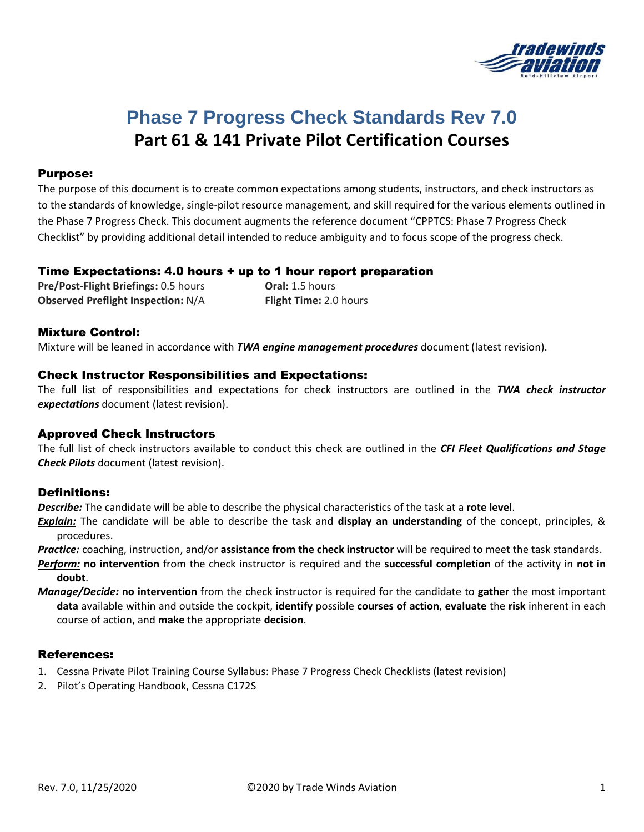

# **Phase 7 Progress Check Standards Rev 7.0 Part 61 & 141 Private Pilot Certification Courses**

### Purpose:

The purpose of this document is to create common expectations among students, instructors, and check instructors as to the standards of knowledge, single-pilot resource management, and skill required for the various elements outlined in the Phase 7 Progress Check. This document augments the reference document "CPPTCS: Phase 7 Progress Check Checklist" by providing additional detail intended to reduce ambiguity and to focus scope of the progress check.

### Time Expectations: 4.0 hours + up to 1 hour report preparation

**Pre/Post-Flight Briefings:** 0.5 hours **Oral:** 1.5 hours **Observed Preflight Inspection:** N/A **Flight Time:** 2.0 hours

### Mixture Control:

Mixture will be leaned in accordance with *TWA engine management procedures* document (latest revision).

### Check Instructor Responsibilities and Expectations:

The full list of responsibilities and expectations for check instructors are outlined in the *TWA check instructor expectations* document (latest revision).

### Approved Check Instructors

The full list of check instructors available to conduct this check are outlined in the *CFI Fleet Qualifications and Stage Check Pilots* document (latest revision).

### Definitions:

*Describe:* The candidate will be able to describe the physical characteristics of the task at a **rote level**.

*Explain:* The candidate will be able to describe the task and **display an understanding** of the concept, principles, & procedures.

*Practice:* coaching, instruction, and/or **assistance from the check instructor** will be required to meet the task standards.

- *Perform:* **no intervention** from the check instructor is required and the **successful completion** of the activity in **not in doubt**.
- *Manage/Decide:* **no intervention** from the check instructor is required for the candidate to **gather** the most important **data** available within and outside the cockpit, **identify** possible **courses of action**, **evaluate** the **risk** inherent in each course of action, and **make** the appropriate **decision**.

### References:

- 1. Cessna Private Pilot Training Course Syllabus: Phase 7 Progress Check Checklists (latest revision)
- 2. Pilot's Operating Handbook, Cessna C172S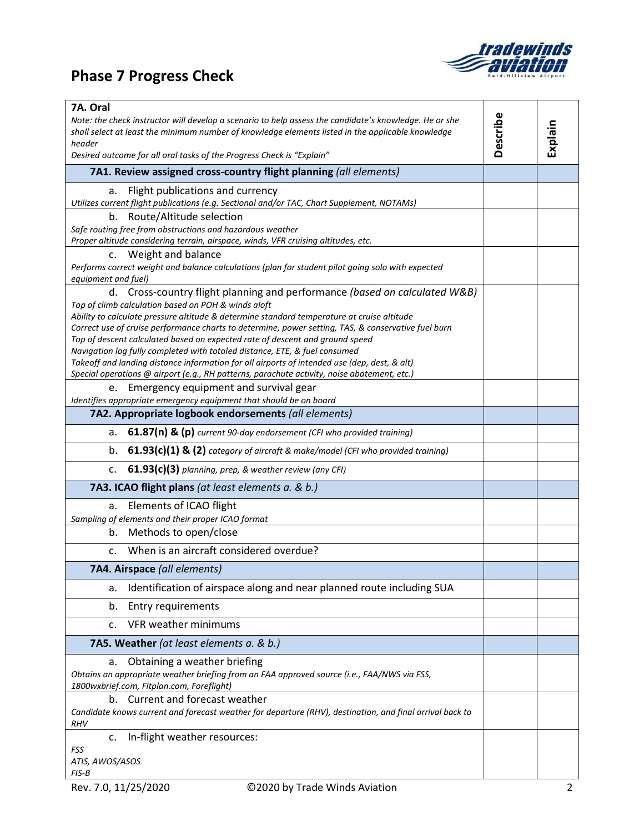# **Phase 7 Progress Check**



| 7A. Oral<br>Note: the check instructor will develop a scenario to help assess the candidate's knowledge. He or she<br>shall select at least the minimum number of knowledge elements listed in the applicable knowledge | Describe |         |
|-------------------------------------------------------------------------------------------------------------------------------------------------------------------------------------------------------------------------|----------|---------|
| header<br>Desired outcome for all oral tasks of the Progress Check is "Explain"                                                                                                                                         |          | Explain |
| 7A1. Review assigned cross-country flight planning (all elements)                                                                                                                                                       |          |         |
| Flight publications and currency<br>a.<br>Utilizes current flight publications (e.g. Sectional and/or TAC, Chart Supplement, NOTAMs)                                                                                    |          |         |
| b. Route/Altitude selection                                                                                                                                                                                             |          |         |
| Safe routing free from obstructions and hazardous weather<br>Proper altitude considering terrain, airspace, winds, VFR cruising altitudes, etc.                                                                         |          |         |
| c. Weight and balance                                                                                                                                                                                                   |          |         |
| Performs correct weight and balance calculations (plan for student pilot going solo with expected<br>equipment and fuel)                                                                                                |          |         |
| d. Cross-country flight planning and performance (based on calculated W&B)                                                                                                                                              |          |         |
| Top of climb calculation based on POH & winds aloft<br>Ability to calculate pressure altitude & determine standard temperature at cruise altitude                                                                       |          |         |
| Correct use of cruise performance charts to determine, power setting, TAS, & conservative fuel burn                                                                                                                     |          |         |
| Top of descent calculated based on expected rate of descent and ground speed<br>Navigation log fully completed with totaled distance, ETE, & fuel consumed                                                              |          |         |
| Takeoff and landing distance information for all airports of intended use (dep, dest, & alt)                                                                                                                            |          |         |
| Special operations @ airport (e.g., RH patterns, parachute activity, noise abatement, etc.)<br>e. Emergency equipment and survival gear                                                                                 |          |         |
| Identifies appropriate emergency equipment that should be on board                                                                                                                                                      |          |         |
| 7A2. Appropriate logbook endorsements (all elements)                                                                                                                                                                    |          |         |
| $61.87(n)$ & (p) current 90-day endorsement (CFI who provided training)<br>a.                                                                                                                                           |          |         |
| 61.93(c)(1) & (2) category of aircraft & make/model (CFI who provided training)<br>b.                                                                                                                                   |          |         |
| 61.93(c)(3) planning, prep, & weather review (any CFI)<br>c.                                                                                                                                                            |          |         |
| 7A3. ICAO flight plans (at least elements a. & b.)                                                                                                                                                                      |          |         |
| Elements of ICAO flight<br>a.                                                                                                                                                                                           |          |         |
| Sampling of elements and their proper ICAO format<br>b. Methods to open/close                                                                                                                                           |          |         |
| c. When is an aircraft considered overdue?                                                                                                                                                                              |          |         |
| 7A4. Airspace (all elements)                                                                                                                                                                                            |          |         |
| Identification of airspace along and near planned route including SUA<br>a.                                                                                                                                             |          |         |
| Entry requirements<br>b.                                                                                                                                                                                                |          |         |
| VFR weather minimums<br>$\mathsf{C}$ .                                                                                                                                                                                  |          |         |
| 7A5. Weather (at least elements a. & b.)                                                                                                                                                                                |          |         |
| Obtaining a weather briefing<br>a.                                                                                                                                                                                      |          |         |
| Obtains an appropriate weather briefing from an FAA approved source (i.e., FAA/NWS via FSS,<br>1800wxbrief.com, Fltplan.com, Foreflight)                                                                                |          |         |
| b. Current and forecast weather                                                                                                                                                                                         |          |         |
| Candidate knows current and forecast weather for departure (RHV), destination, and final arrival back to<br><b>RHV</b>                                                                                                  |          |         |
| c. In-flight weather resources:                                                                                                                                                                                         |          |         |
| <b>FSS</b><br>ATIS, AWOS/ASOS                                                                                                                                                                                           |          |         |
| $FIS-B$                                                                                                                                                                                                                 |          |         |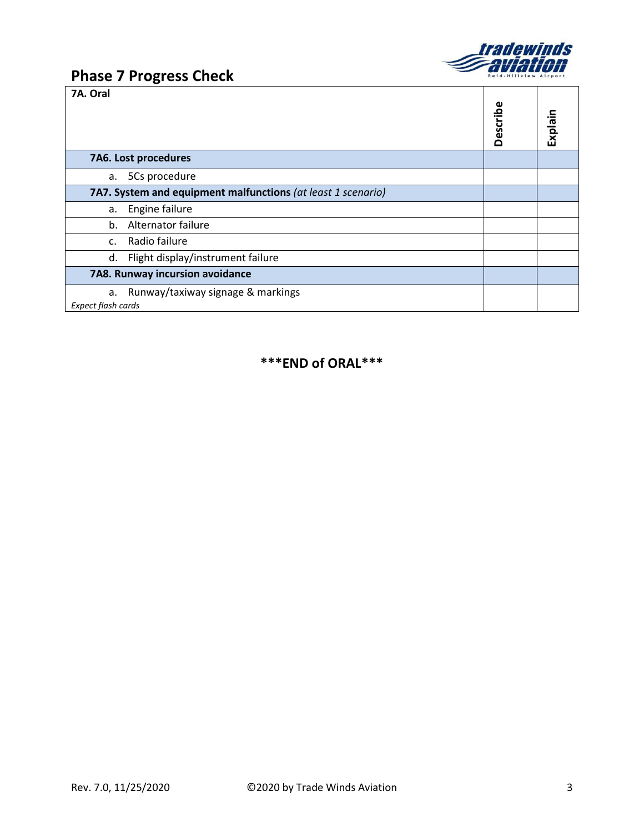

T

┑

 $\top$ 

### **Phase 7 Progress Check**

**7A. Oral**

| 78. VI di                                                     | Describe | Explain |
|---------------------------------------------------------------|----------|---------|
| 7A6. Lost procedures                                          |          |         |
| 5Cs procedure<br>а.                                           |          |         |
| 7A7. System and equipment malfunctions (at least 1 scenario)  |          |         |
| Engine failure<br>а.                                          |          |         |
| Alternator failure<br>$b_{1}$                                 |          |         |
| Radio failure<br>$\mathsf{C}$ .                               |          |         |
| Flight display/instrument failure<br>d.                       |          |         |
| 7A8. Runway incursion avoidance                               |          |         |
| Runway/taxiway signage & markings<br>a.<br>Expect flash cards |          |         |

### **\*\*\*END of ORAL\*\*\***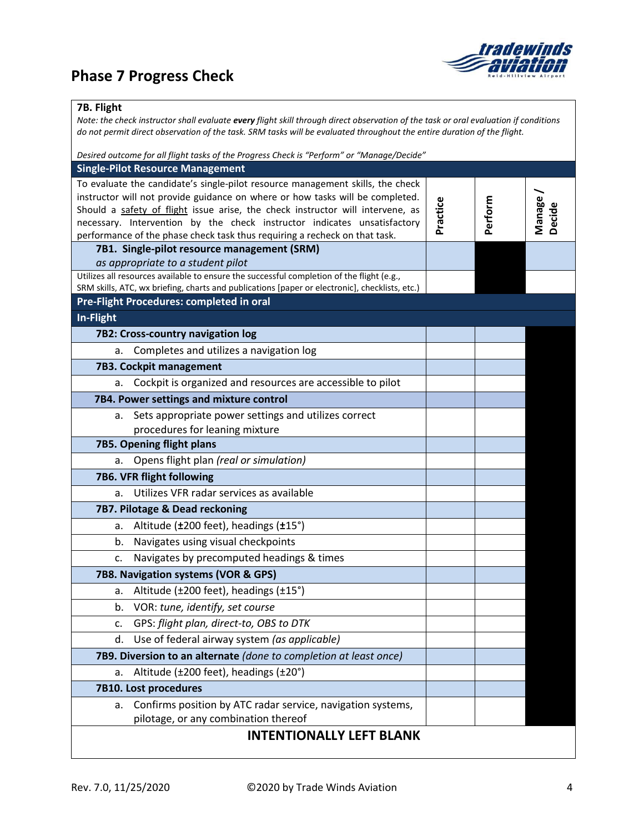## **Phase 7 Progress Check**



### **7B. Flight**

*Note: the check instructor shall evaluate every flight skill through direct observation of the task or oral evaluation if conditions do not permit direct observation of the task. SRM tasks will be evaluated throughout the entire duration of the flight. Desired outcome for all flight tasks of the Progress Check is "Perform" or "Manage/Decide"* **Single-Pilot Resource Management**  $T$ candidato's single-pilot resource management skills, the check

| To evaluate the candidate's single-pilot resource management skills, the check                                                                                  |          |         |         |
|-----------------------------------------------------------------------------------------------------------------------------------------------------------------|----------|---------|---------|
| instructor will not provide guidance on where or how tasks will be completed.<br>Should a safety of flight issue arise, the check instructor will intervene, as |          |         | Manage/ |
| necessary. Intervention by the check instructor indicates unsatisfactory                                                                                        | Practice | Perform | Decide  |
| performance of the phase check task thus requiring a recheck on that task.                                                                                      |          |         |         |
| 7B1. Single-pilot resource management (SRM)                                                                                                                     |          |         |         |
| as appropriate to a student pilot                                                                                                                               |          |         |         |
| Utilizes all resources available to ensure the successful completion of the flight (e.g.,                                                                       |          |         |         |
| SRM skills, ATC, wx briefing, charts and publications [paper or electronic], checklists, etc.)                                                                  |          |         |         |
| Pre-Flight Procedures: completed in oral                                                                                                                        |          |         |         |
| In-Flight                                                                                                                                                       |          |         |         |
| 7B2: Cross-country navigation log                                                                                                                               |          |         |         |
| Completes and utilizes a navigation log<br>a.                                                                                                                   |          |         |         |
| 7B3. Cockpit management                                                                                                                                         |          |         |         |
| a. Cockpit is organized and resources are accessible to pilot                                                                                                   |          |         |         |
| 7B4. Power settings and mixture control                                                                                                                         |          |         |         |
| a. Sets appropriate power settings and utilizes correct                                                                                                         |          |         |         |
| procedures for leaning mixture                                                                                                                                  |          |         |         |
| 7B5. Opening flight plans                                                                                                                                       |          |         |         |
| Opens flight plan (real or simulation)<br>а.                                                                                                                    |          |         |         |
| 7B6. VFR flight following                                                                                                                                       |          |         |         |
| Utilizes VFR radar services as available<br>a.                                                                                                                  |          |         |         |
| 7B7. Pilotage & Dead reckoning                                                                                                                                  |          |         |         |
| Altitude (±200 feet), headings (±15°)<br>a.                                                                                                                     |          |         |         |
| Navigates using visual checkpoints<br>b.                                                                                                                        |          |         |         |
| Navigates by precomputed headings & times<br>c.                                                                                                                 |          |         |         |
| 7B8. Navigation systems (VOR & GPS)                                                                                                                             |          |         |         |
| Altitude (±200 feet), headings (±15°)<br>а.                                                                                                                     |          |         |         |
| VOR: tune, identify, set course<br>b.                                                                                                                           |          |         |         |
| GPS: flight plan, direct-to, OBS to DTK<br>$\mathsf{C}$ .                                                                                                       |          |         |         |
| Use of federal airway system (as applicable)<br>d.                                                                                                              |          |         |         |
| 7B9. Diversion to an alternate (done to completion at least once)                                                                                               |          |         |         |
| Altitude (±200 feet), headings (±20°)<br>а.                                                                                                                     |          |         |         |
| 7B10. Lost procedures                                                                                                                                           |          |         |         |
| a. Confirms position by ATC radar service, navigation systems,                                                                                                  |          |         |         |
| pilotage, or any combination thereof                                                                                                                            |          |         |         |
| <b>INTENTIONALLY LEFT BLANK</b>                                                                                                                                 |          |         |         |
|                                                                                                                                                                 |          |         |         |